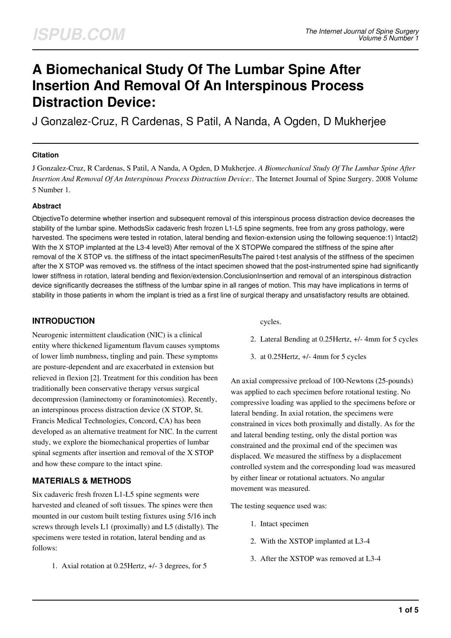# **A Biomechanical Study Of The Lumbar Spine After Insertion And Removal Of An Interspinous Process Distraction Device:**

J Gonzalez-Cruz, R Cardenas, S Patil, A Nanda, A Ogden, D Mukherjee

#### **Citation**

J Gonzalez-Cruz, R Cardenas, S Patil, A Nanda, A Ogden, D Mukherjee. *A Biomechanical Study Of The Lumbar Spine After Insertion And Removal Of An Interspinous Process Distraction Device:*. The Internet Journal of Spine Surgery. 2008 Volume 5 Number 1.

#### **Abstract**

ObjectiveTo determine whether insertion and subsequent removal of this interspinous process distraction device decreases the stability of the lumbar spine. MethodsSix cadaveric fresh frozen L1-L5 spine segments, free from any gross pathology, were harvested. The specimens were tested in rotation, lateral bending and flexion-extension using the following sequence:1) Intact2) With the X STOP implanted at the L3-4 level3) After removal of the X STOPWe compared the stiffness of the spine after removal of the X STOP vs. the stiffness of the intact specimenResultsThe paired t-test analysis of the stiffness of the specimen after the X STOP was removed vs. the stiffness of the intact specimen showed that the post-instrumented spine had significantly lower stiffness in rotation, lateral bending and flexion/extension.ConclusionInsertion and removal of an interspinous distraction device significantly decreases the stiffness of the lumbar spine in all ranges of motion. This may have implications in terms of stability in those patients in whom the implant is tried as a first line of surgical therapy and unsatisfactory results are obtained.

## **INTRODUCTION**

Neurogenic intermittent claudication (NIC) is a clinical entity where thickened ligamentum flavum causes symptoms of lower limb numbness, tingling and pain. These symptoms are posture-dependent and are exacerbated in extension but relieved in flexion [2]. Treatment for this condition has been traditionally been conservative therapy versus surgical decompression (laminectomy or foraminotomies). Recently, an interspinous process distraction device (X STOP, St. Francis Medical Technologies, Concord, CA) has been developed as an alternative treatment for NIC. In the current study, we explore the biomechanical properties of lumbar spinal segments after insertion and removal of the X STOP and how these compare to the intact spine.

# **MATERIALS & METHODS**

Six cadaveric fresh frozen L1-L5 spine segments were harvested and cleaned of soft tissues. The spines were then mounted in our custom built testing fixtures using 5/16 inch screws through levels L1 (proximally) and L5 (distally). The specimens were tested in rotation, lateral bending and as follows:

1. Axial rotation at 0.25Hertz, +/- 3 degrees, for 5

cycles.

- 2. Lateral Bending at 0.25Hertz, +/- 4mm for 5 cycles
- 3. at 0.25Hertz, +/- 4mm for 5 cycles

An axial compressive preload of 100-Newtons (25-pounds) was applied to each specimen before rotational testing. No compressive loading was applied to the specimens before or lateral bending. In axial rotation, the specimens were constrained in vices both proximally and distally. As for the and lateral bending testing, only the distal portion was constrained and the proximal end of the specimen was displaced. We measured the stiffness by a displacement controlled system and the corresponding load was measured by either linear or rotational actuators. No angular movement was measured.

The testing sequence used was:

- 1. Intact specimen
- 2. With the XSTOP implanted at L3-4
- 3. After the XSTOP was removed at L3-4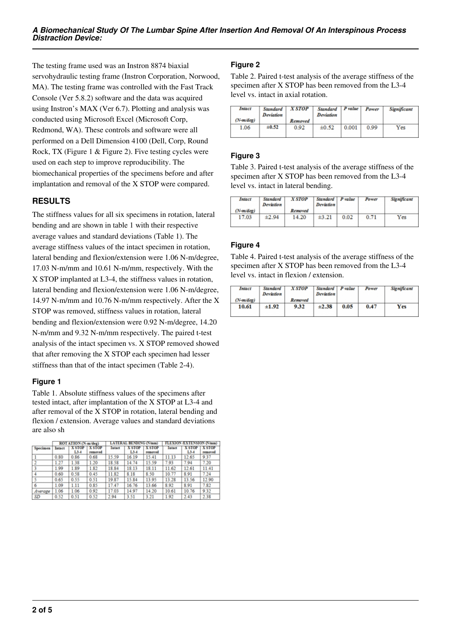The testing frame used was an Instron 8874 biaxial servohydraulic testing frame (Instron Corporation, Norwood, MA). The testing frame was controlled with the Fast Track Console (Ver 5.8.2) software and the data was acquired using Instron's MAX (Ver 6.7). Plotting and analysis was conducted using Microsoft Excel (Microsoft Corp, Redmond, WA). These controls and software were all performed on a Dell Dimension 4100 (Dell, Corp, Round Rock, TX (Figure 1 & Figure 2). Five testing cycles were used on each step to improve reproducibility. The biomechanical properties of the specimens before and after implantation and removal of the X STOP were compared.

# **RESULTS**

The stiffness values for all six specimens in rotation, lateral bending and are shown in table 1 with their respective average values and standard deviations (Table 1). The average stiffness values of the intact specimen in rotation, lateral bending and flexion/extension were 1.06 N-m/degree, 17.03 N-m/mm and 10.61 N-m/mm, respectively. With the X STOP implanted at L3-4, the stiffness values in rotation, lateral bending and flexion/extension were 1.06 N-m/degree, 14.97 N-m/mm and 10.76 N-m/mm respectively. After the X STOP was removed, stiffness values in rotation, lateral bending and flexion/extension were 0.92 N-m/degree, 14.20 N-m/mm and 9.32 N-m/mm respectively. The paired t-test analysis of the intact specimen vs. X STOP removed showed that after removing the X STOP each specimen had lesser stiffness than that of the intact specimen (Table 2-4).

### **Figure 1**

Table 1. Absolute stiffness values of the specimens after tested intact, after implantation of the X STOP at L3-4 and after removal of the X STOP in rotation, lateral bending and flexion / extension. Average values and standard deviations are also sh

|           | ROTATION (N-m/deg) |                      |                         | <b>LATERAL BENDING (N/mm)</b> |                      |                         | <b>FLANION ANTENSION (N/mm)</b> |                      |                         |
|-----------|--------------------|----------------------|-------------------------|-------------------------------|----------------------|-------------------------|---------------------------------|----------------------|-------------------------|
| Specimen  | Intact             | <b>XSTOP</b><br>L3.4 | <b>XSTOP</b><br>removed | Intact                        | <b>XSIOP</b><br>L3.4 | <b>XSTOP</b><br>removed | Intact                          | <b>XSIOP</b><br>L3.4 | <b>XSTOP</b><br>removed |
|           | 0.80               | 0.86                 | 0.68                    | 15.59                         | 16.19                | 15.41                   | 11.13                           | 12.65                | 9.37                    |
|           | 1.27               | 1.38                 | 1.20                    | 18.58                         | 14.74                | 15.59                   | 7.93                            | 7.94                 | 7.20                    |
|           | 1.99               | 1.89                 | 1.82                    | 18.84                         | 18.13                | 18.11                   | 11.62                           | 12.61                | 11.41                   |
|           | 0.60               | 0.58                 | 0.45                    | 11.82                         | 8.18                 | 8.50                    | 10.77                           | 8.91                 | 7.24                    |
|           | 0.65               | 0.55                 | 0.51                    | 19.87                         | 15.84                | 13.95                   | 13.28                           | 13.56                | 12.90                   |
|           | 1.09               | 1.11                 | 0.85                    | 17.47                         | 16.76                | 13.66                   | 8.92                            | 8.91                 | 7.82                    |
| Average   | 1.06               | 1.06                 | 0.92                    | 17.03                         | 14.97                | 14.20                   | 10.61                           | 10.76                | 9.32                    |
| <b>SD</b> | 0.52               | 0.51                 | 0.52                    | 2.94                          | 3.51                 | 3.21                    | 1.92                            | 2.43                 | 2.38                    |

## **Figure 2**

Table 2. Paired t-test analysis of the average stiffness of the specimen after X STOP has been removed from the L3-4 level vs. intact in axial rotation.

| Intact<br>$(N-mdeg)$ | <b>Standard</b><br><b>Deviation</b> | <b>XSTOP</b><br>Removed | <b>Standard</b><br><b>Deviation</b> | P value | Power | <b>Significant</b> |
|----------------------|-------------------------------------|-------------------------|-------------------------------------|---------|-------|--------------------|
| 1.06                 | ±0.52                               | 0.92                    | ±0.52                               | 0.001   | 0.99  | Yes                |

## **Figure 3**

Table 3. Paired t-test analysis of the average stiffness of the specimen after X STOP has been removed from the L3-4 level vs. intact in lateral bending.

| <b>Intact</b> | <b>Standard</b><br><b>Deviation</b> | <b>XSTOP</b> | <b>Standard</b><br><b>Deviation</b> | P value | Power | <b>Significant</b> |
|---------------|-------------------------------------|--------------|-------------------------------------|---------|-------|--------------------|
| $(N-mdeg)$    |                                     | Removed      |                                     |         |       |                    |
| 17.03         | ±2.94                               | 14.20        | ±3.21                               | 0.02    | 0.71  | Yes                |

# **Figure 4**

Table 4. Paired t-test analysis of the average stiffness of the specimen after X STOP has been removed from the L3-4 level vs. intact in flexion / extension.

| <b>Intact</b> | <b>Standard</b><br><b>Deviation</b> | <b>XSTOP</b> | <b>Standard</b><br><b>Deviation</b> | P value | Power | <b>Significant</b> |
|---------------|-------------------------------------|--------------|-------------------------------------|---------|-------|--------------------|
| $(N-mdeg)$    |                                     | Removed      |                                     |         |       |                    |
| 10.61         | $\pm 1.92$                          | 9.32         | $\pm 2.38$                          | 0.05    | 0.47  | Yes                |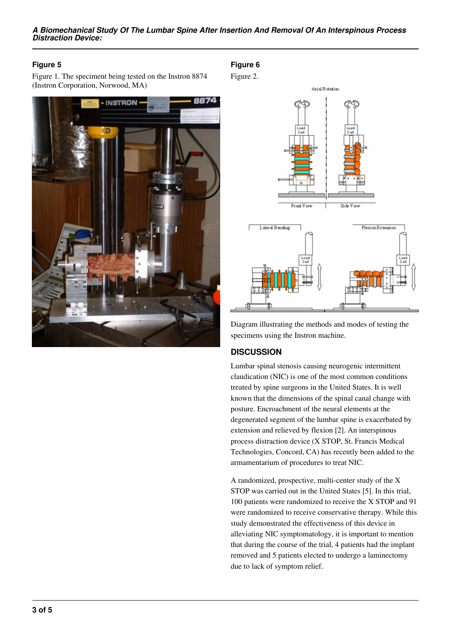*A Biomechanical Study Of The Lumbar Spine After Insertion And Removal Of An Interspinous Process Distraction Device:*

#### **Figure 5**

Figure 1. The speciment being tested on the Instron 8874 (Instron Corporation, Norwood, MA)



#### **Figure 6**





Diagram illustrating the methods and modes of testing the specimens using the Instron machine.

#### **DISCUSSION**

Lumbar spinal stenosis causing neurogenic intermittent claudication (NIC) is one of the most common conditions treated by spine surgeons in the United States. It is well known that the dimensions of the spinal canal change with posture. Encroachment of the neural elements at the degenerated segment of the lumbar spine is exacerbated by extension and relieved by flexion [2]. An interspinous process distraction device (X STOP, St. Francis Medical Technologies, Concord, CA) has recently been added to the armamentarium of procedures to treat NIC.

A randomized, prospective, multi-center study of the X STOP was carried out in the United States [5]. In this trial, 100 patients were randomized to receive the X STOP and 91 were randomized to receive conservative therapy. While this study demonstrated the effectiveness of this device in alleviating NIC symptomatology, it is important to mention that during the course of the trial, 4 patients had the implant removed and 5 patients elected to undergo a laminectomy due to lack of symptom relief.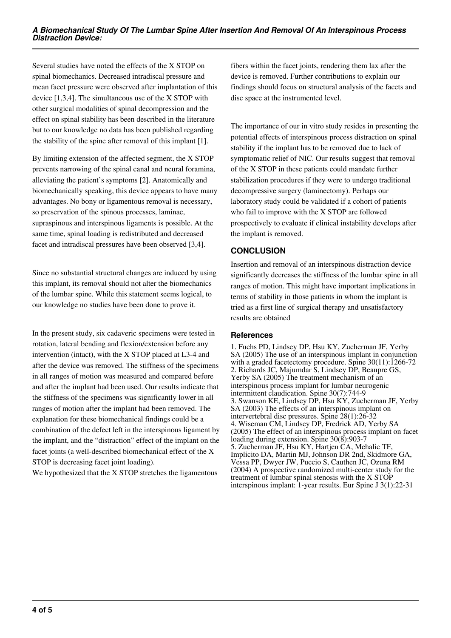Several studies have noted the effects of the X STOP on spinal biomechanics. Decreased intradiscal pressure and mean facet pressure were observed after implantation of this device [1,3,4]. The simultaneous use of the X STOP with other surgical modalities of spinal decompression and the effect on spinal stability has been described in the literature but to our knowledge no data has been published regarding the stability of the spine after removal of this implant [1].

By limiting extension of the affected segment, the X STOP prevents narrowing of the spinal canal and neural foramina, alleviating the patient's symptoms [2]. Anatomically and biomechanically speaking, this device appears to have many advantages. No bony or ligamentous removal is necessary, so preservation of the spinous processes, laminae, supraspinous and interspinous ligaments is possible. At the same time, spinal loading is redistributed and decreased facet and intradiscal pressures have been observed [3,4].

Since no substantial structural changes are induced by using this implant, its removal should not alter the biomechanics of the lumbar spine. While this statement seems logical, to our knowledge no studies have been done to prove it.

In the present study, six cadaveric specimens were tested in rotation, lateral bending and flexion/extension before any intervention (intact), with the X STOP placed at L3-4 and after the device was removed. The stiffness of the specimens in all ranges of motion was measured and compared before and after the implant had been used. Our results indicate that the stiffness of the specimens was significantly lower in all ranges of motion after the implant had been removed. The explanation for these biomechanical findings could be a combination of the defect left in the interspinous ligament by the implant, and the "distraction" effect of the implant on the facet joints (a well-described biomechanical effect of the X STOP is decreasing facet joint loading).

We hypothesized that the X STOP stretches the ligamentous

fibers within the facet joints, rendering them lax after the device is removed. Further contributions to explain our findings should focus on structural analysis of the facets and disc space at the instrumented level.

The importance of our in vitro study resides in presenting the potential effects of interspinous process distraction on spinal stability if the implant has to be removed due to lack of symptomatic relief of NIC. Our results suggest that removal of the X STOP in these patients could mandate further stabilization procedures if they were to undergo traditional decompressive surgery (laminectomy). Perhaps our laboratory study could be validated if a cohort of patients who fail to improve with the X STOP are followed prospectively to evaluate if clinical instability develops after the implant is removed.

# **CONCLUSION**

Insertion and removal of an interspinous distraction device significantly decreases the stiffness of the lumbar spine in all ranges of motion. This might have important implications in terms of stability in those patients in whom the implant is tried as a first line of surgical therapy and unsatisfactory results are obtained

### **References**

1. Fuchs PD, Lindsey DP, Hsu KY, Zucherman JF, Yerby SA (2005) The use of an interspinous implant in conjunction with a graded facetectomy procedure. Spine 30(11):1266-72 2. Richards JC, Majumdar S, Lindsey DP, Beaupre GS, Yerby SA (2005) The treatment mechanism of an interspinous process implant for lumbar neurogenic intermittent claudication. Spine 30(7):744-9 3. Swanson KE, Lindsey DP, Hsu KY, Zucherman JF, Yerby SA (2003) The effects of an interspinous implant on intervertebral disc pressures. Spine 28(1):26-32 4. Wiseman CM, Lindsey DP, Fredrick AD, Yerby SA (2005) The effect of an interspinous process implant on facet loading during extension. Spine 30(8):903-7 5. Zucherman JF, Hsu KY, Hartjen CA, Mehalic TF, Implicito DA, Martin MJ, Johnson DR 2nd, Skidmore GA, Vessa PP, Dwyer JW, Puccio S, Cauthen JC, Ozuna RM (2004) A prospective randomized multi-center study for the treatment of lumbar spinal stenosis with the X STOP interspinous implant: 1-year results. Eur Spine J 3(1):22-31